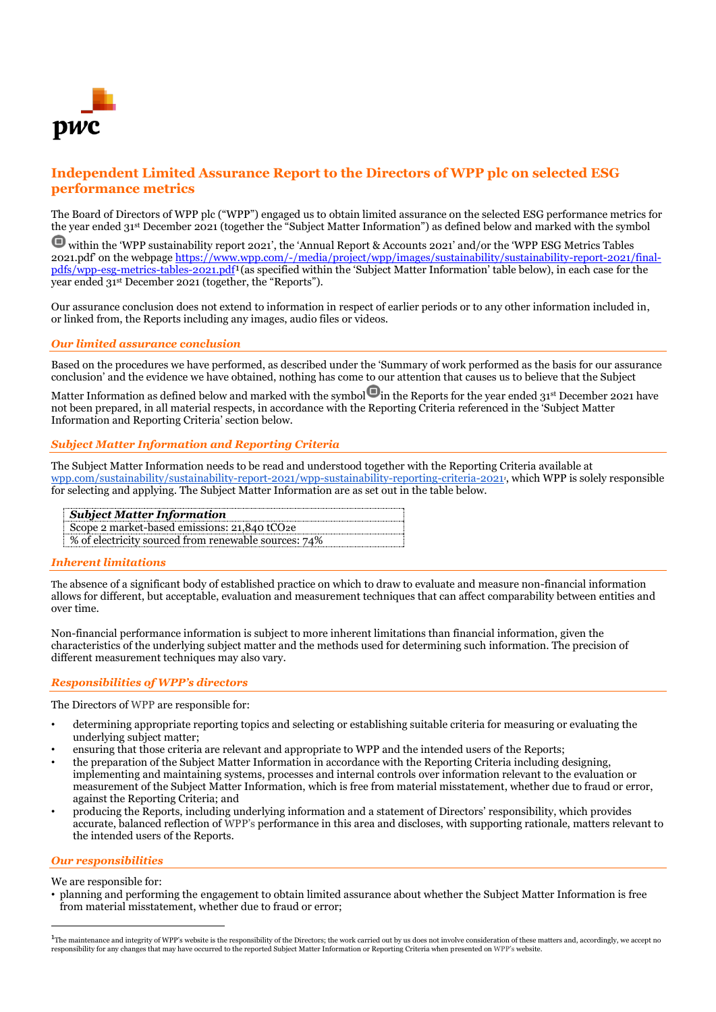

# **Independent Limited Assurance Report to the Directors of WPP plc on selected ESG performance metrics**

The Board of Directors of WPP plc ("WPP") engaged us to obtain limited assurance on the selected ESG performance metrics for the year ended 31st December 2021 (together the "Subject Matter Information") as defined below and marked with the symbol

within the 'WPP sustainability report 2021', the 'Annual Report & Accounts 2021' and/or the 'WPP ESG Metrics Tables 2021.pdf' on the webpage [https://www.wpp.com/-/media/project/wpp/images/sustainability/sustainability-report-2021/final](https://www.wpp.com/-/media/project/wpp/images/sustainability/sustainability-report-2021/final-pdfs/wpp-esg-metrics-tables-2021.pdf)[pdfs/wpp-esg-metrics-tables-2021.pdf](https://www.wpp.com/-/media/project/wpp/images/sustainability/sustainability-report-2021/final-pdfs/wpp-esg-metrics-tables-2021.pdf)<sup>1</sup>(as specified within the 'Subject Matter Information' table below), in each case for the year ended 31st December 2021 (together, the "Reports").

Our assurance conclusion does not extend to information in respect of earlier periods or to any other information included in, or linked from, the Reports including any images, audio files or videos.

# *Our limited assurance conclusion*

Based on the procedures we have performed, as described under the 'Summary of work performed as the basis for our assurance conclusion' and the evidence we have obtained, nothing has come to our attention that causes us to believe that the Subject

Matter Information as defined below and marked with the symbol  $\bigcirc$  in the Reports for the year ended 31<sup>st</sup> December 2021 have not been prepared, in all material respects, in accordance with the Reporting Criteria referenced in the 'Subject Matter Information and Reporting Criteria' section below.

### *Subject Matter Information and Reporting Criteria*

The Subject Matter Information needs to be read and understood together with the Reporting Criteria available at [wpp.com/sustainability/sustainability-report-2021/wpp-sustainability-reporting-criteria-2021](http://wpp.com/sustainability/sustainability-report-2021/wpp-sustainability-reporting-criteria-2021)*<sup>1</sup>* , which WPP is solely responsible for selecting and applying. The Subject Matter Information are as set out in the table below.

| <b>Subject Matter Information</b>                        |
|----------------------------------------------------------|
| Scope 2 market-based emissions: 21,840 tCO <sub>2e</sub> |
| % of electricity sourced from renewable sources: 74%     |

# *Inherent limitations*

The absence of a significant body of established practice on which to draw to evaluate and measure non-financial information allows for different, but acceptable, evaluation and measurement techniques that can affect comparability between entities and over time.

Non-financial performance information is subject to more inherent limitations than financial information, given the characteristics of the underlying subject matter and the methods used for determining such information. The precision of different measurement techniques may also vary.

# *Responsibilities of WPP's directors*

The Directors of WPP are responsible for:

- determining appropriate reporting topics and selecting or establishing suitable criteria for measuring or evaluating the underlying subject matter;
- ensuring that those criteria are relevant and appropriate to WPP and the intended users of the Reports;
- the preparation of the Subject Matter Information in accordance with the Reporting Criteria including designing, implementing and maintaining systems, processes and internal controls over information relevant to the evaluation or measurement of the Subject Matter Information, which is free from material misstatement, whether due to fraud or error, against the Reporting Criteria; and
- producing the Reports, including underlying information and a statement of Directors' responsibility, which provides accurate, balanced reflection of WPP's performance in this area and discloses, with supporting rationale, matters relevant to the intended users of the Reports.

### *Our responsibilities*

We are responsible for:

• planning and performing the engagement to obtain limited assurance about whether the Subject Matter Information is free from material misstatement, whether due to fraud or error;

<sup>1</sup>The maintenance and integrity of WPP's website is the responsibility of the Directors; the work carried out by us does not involve consideration of these matters and, accordingly, we accept no responsibility for any changes that may have occurred to the reported Subject Matter Information or Reporting Criteria when presented on WPP's website.